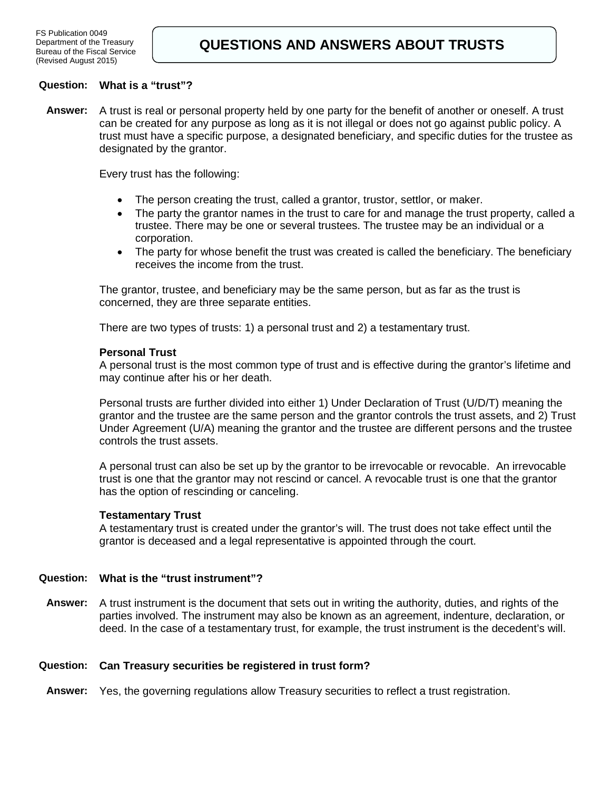## **Question: What is a "trust"?**

**Answer:** A trust is real or personal property held by one party for the benefit of another or oneself. A trust can be created for any purpose as long as it is not illegal or does not go against public policy. A trust must have a specific purpose, a designated beneficiary, and specific duties for the trustee as designated by the grantor.

Every trust has the following:

- The person creating the trust, called a grantor, trustor, settlor, or maker.
- The party the grantor names in the trust to care for and manage the trust property, called a trustee. There may be one or several trustees. The trustee may be an individual or a corporation.
- The party for whose benefit the trust was created is called the beneficiary. The beneficiary receives the income from the trust.

The grantor, trustee, and beneficiary may be the same person, but as far as the trust is concerned, they are three separate entities.

There are two types of trusts: 1) a personal trust and 2) a testamentary trust.

#### **Personal Trust**

A personal trust is the most common type of trust and is effective during the grantor's lifetime and may continue after his or her death.

Personal trusts are further divided into either 1) Under Declaration of Trust (U/D/T) meaning the grantor and the trustee are the same person and the grantor controls the trust assets, and 2) Trust Under Agreement (U/A) meaning the grantor and the trustee are different persons and the trustee controls the trust assets.

A personal trust can also be set up by the grantor to be irrevocable or revocable. An irrevocable trust is one that the grantor may not rescind or cancel. A revocable trust is one that the grantor has the option of rescinding or canceling.

#### **Testamentary Trust**

A testamentary trust is created under the grantor's will. The trust does not take effect until the grantor is deceased and a legal representative is appointed through the court.

## **Question: What is the "trust instrument"?**

**Answer:** A trust instrument is the document that sets out in writing the authority, duties, and rights of the parties involved. The instrument may also be known as an agreement, indenture, declaration, or deed. In the case of a testamentary trust, for example, the trust instrument is the decedent's will.

### **Question: Can Treasury securities be registered in trust form?**

**Answer:** Yes, the governing regulations allow Treasury securities to reflect a trust registration.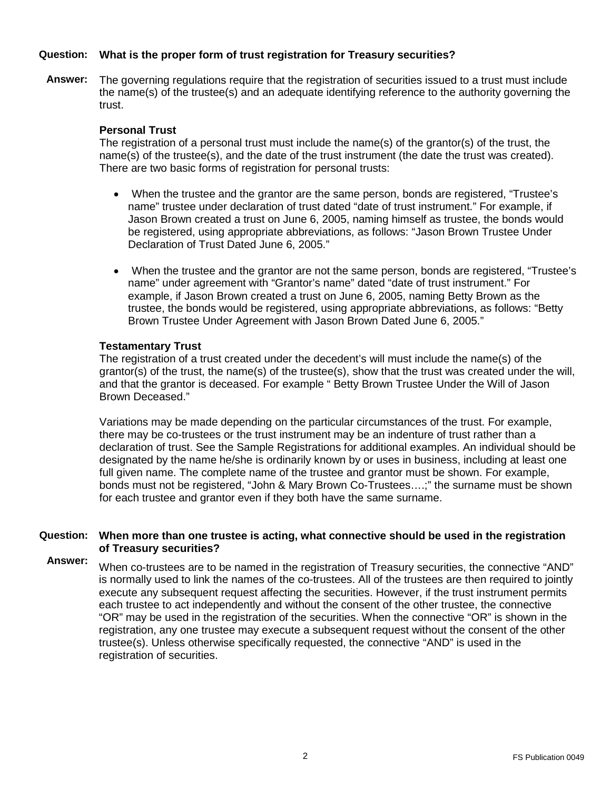## **Question: What is the proper form of trust registration for Treasury securities?**

**Answer:** The governing regulations require that the registration of securities issued to a trust must include the name(s) of the trustee(s) and an adequate identifying reference to the authority governing the trust.

### **Personal Trust**

The registration of a personal trust must include the name(s) of the grantor(s) of the trust, the name(s) of the trustee(s), and the date of the trust instrument (the date the trust was created). There are two basic forms of registration for personal trusts:

- When the trustee and the grantor are the same person, bonds are registered, "Trustee's name" trustee under declaration of trust dated "date of trust instrument." For example, if Jason Brown created a trust on June 6, 2005, naming himself as trustee, the bonds would be registered, using appropriate abbreviations, as follows: "Jason Brown Trustee Under Declaration of Trust Dated June 6, 2005."
- When the trustee and the grantor are not the same person, bonds are registered, "Trustee's name" under agreement with "Grantor's name" dated "date of trust instrument." For example, if Jason Brown created a trust on June 6, 2005, naming Betty Brown as the trustee, the bonds would be registered, using appropriate abbreviations, as follows: "Betty Brown Trustee Under Agreement with Jason Brown Dated June 6, 2005."

### **Testamentary Trust**

The registration of a trust created under the decedent's will must include the name(s) of the grantor(s) of the trust, the name(s) of the trustee(s), show that the trust was created under the will, and that the grantor is deceased. For example " Betty Brown Trustee Under the Will of Jason Brown Deceased."

Variations may be made depending on the particular circumstances of the trust. For example, there may be co-trustees or the trust instrument may be an indenture of trust rather than a declaration of trust. See the Sample Registrations for additional examples. An individual should be designated by the name he/she is ordinarily known by or uses in business, including at least one full given name. The complete name of the trustee and grantor must be shown. For example, bonds must not be registered, "John & Mary Brown Co-Trustees….;" the surname must be shown for each trustee and grantor even if they both have the same surname.

### **Question: When more than one trustee is acting, what connective should be used in the registration of Treasury securities?**

**Answer:** When co-trustees are to be named in the registration of Treasury securities, the connective "AND" is normally used to link the names of the co-trustees. All of the trustees are then required to jointly execute any subsequent request affecting the securities. However, if the trust instrument permits each trustee to act independently and without the consent of the other trustee, the connective "OR" may be used in the registration of the securities. When the connective "OR" is shown in the registration, any one trustee may execute a subsequent request without the consent of the other trustee(s). Unless otherwise specifically requested, the connective "AND" is used in the registration of securities.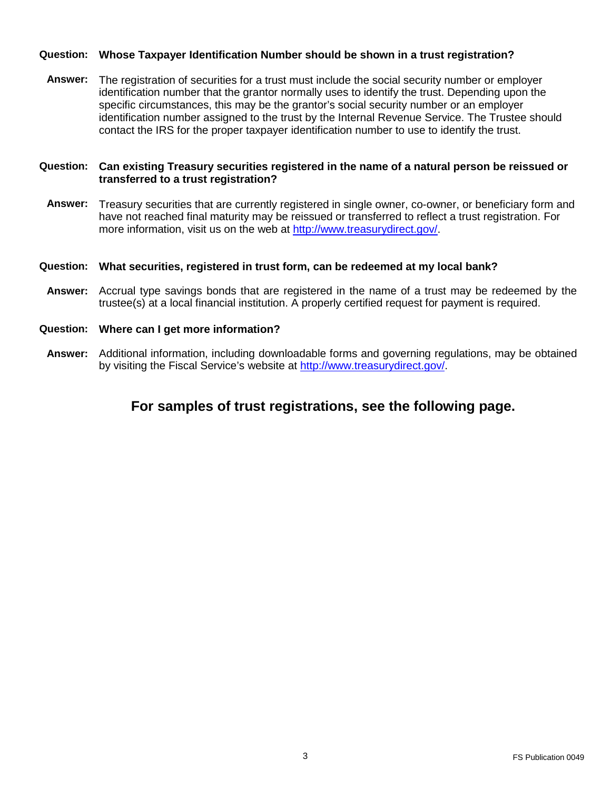## **Question: Whose Taxpayer Identification Number should be shown in a trust registration?**

**Answer:** The registration of securities for a trust must include the social security number or employer identification number that the grantor normally uses to identify the trust. Depending upon the specific circumstances, this may be the grantor's social security number or an employer identification number assigned to the trust by the Internal Revenue Service. The Trustee should contact the IRS for the proper taxpayer identification number to use to identify the trust.

## **Question: Can existing Treasury securities registered in the name of a natural person be reissued or transferred to a trust registration?**

**Answer:** Treasury securities that are currently registered in single owner, co-owner, or beneficiary form and have not reached final maturity may be reissued or transferred to reflect a trust registration. For more information, visit us on the web at [http://www.treasurydirect.gov/.](http://www.treasurydirect.gov/)

### **Question: What securities, registered in trust form, can be redeemed at my local bank?**

**Answer:** Accrual type savings bonds that are registered in the name of a trust may be redeemed by the trustee(s) at a local financial institution. A properly certified request for payment is required.

#### **Question: Where can I get more information?**

**Answer:** Additional information, including downloadable forms and governing regulations, may be obtained by visiting the Fiscal Service's website at [http://www.treasurydirect.gov/.](http://www.treasurydirect.gov/)

# **For samples of trust registrations, see the following page.**